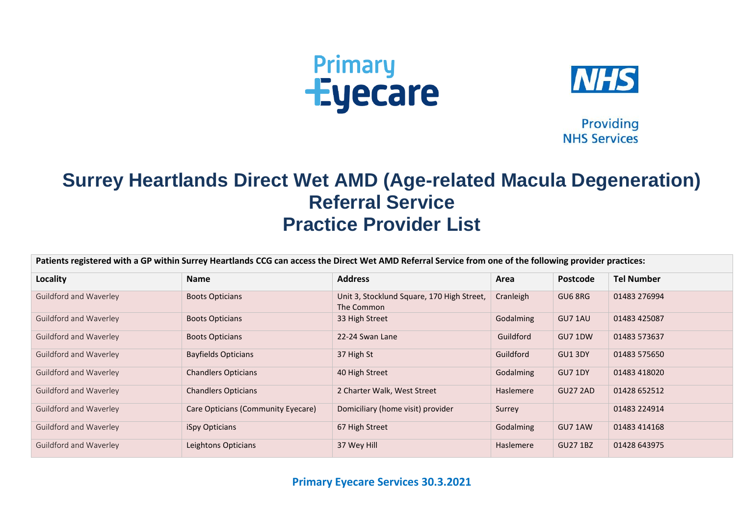



**Providing NHS Services** 

## **Surrey Heartlands Direct Wet AMD (Age-related Macula Degeneration) Referral Service Practice Provider List**

| Patients registered with a GP within Surrey Heartlands CCG can access the Direct Wet AMD Referral Service from one of the following provider practices: |                                    |                                                          |           |                 |                   |  |
|---------------------------------------------------------------------------------------------------------------------------------------------------------|------------------------------------|----------------------------------------------------------|-----------|-----------------|-------------------|--|
| Locality                                                                                                                                                | <b>Name</b>                        | <b>Address</b>                                           | Area      | <b>Postcode</b> | <b>Tel Number</b> |  |
| Guildford and Waverley                                                                                                                                  | <b>Boots Opticians</b>             | Unit 3, Stocklund Square, 170 High Street,<br>The Common | Cranleigh | GU6 8RG         | 01483 276994      |  |
| Guildford and Waverley                                                                                                                                  | <b>Boots Opticians</b>             | 33 High Street                                           | Godalming | GU7 1AU         | 01483 425087      |  |
| Guildford and Waverley                                                                                                                                  | <b>Boots Opticians</b>             | 22-24 Swan Lane                                          | Guildford | GU7 1DW         | 01483 573637      |  |
| Guildford and Waverley                                                                                                                                  | <b>Bayfields Opticians</b>         | 37 High St                                               | Guildford | GU1 3DY         | 01483 575650      |  |
| Guildford and Waverley                                                                                                                                  | <b>Chandlers Opticians</b>         | 40 High Street                                           | Godalming | <b>GU7 1DY</b>  | 01483 418020      |  |
| Guildford and Waverley                                                                                                                                  | <b>Chandlers Opticians</b>         | 2 Charter Walk, West Street                              | Haslemere | <b>GU27 2AD</b> | 01428 652512      |  |
| Guildford and Waverley                                                                                                                                  | Care Opticians (Community Eyecare) | Domiciliary (home visit) provider                        | Surrey    |                 | 01483 224914      |  |
| <b>Guildford and Waverley</b>                                                                                                                           | iSpy Opticians                     | 67 High Street                                           | Godalming | GU7 1AW         | 01483 414168      |  |
| Guildford and Waverley                                                                                                                                  | Leightons Opticians                | 37 Wey Hill                                              | Haslemere | <b>GU27 1BZ</b> | 01428 643975      |  |

**Primary Eyecare Services 30.3.2021**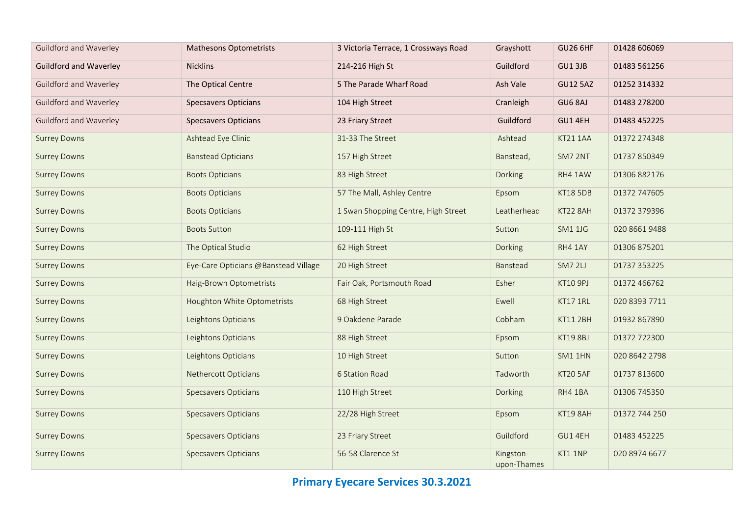| Guildford and Waverley        | <b>Mathesons Optometrists</b>        | 3 Victoria Terrace, 1 Crossways Road | Grayshott                | <b>GU26 6HF</b> | 01428 606069  |  |
|-------------------------------|--------------------------------------|--------------------------------------|--------------------------|-----------------|---------------|--|
| <b>Guildford and Waverley</b> | <b>Nicklins</b>                      | 214-216 High St                      | Guildford                | GU1 3JB         | 01483 561256  |  |
| Guildford and Waverley        | The Optical Centre                   | 5 The Parade Wharf Road              | Ash Vale                 | <b>GU12 5AZ</b> | 01252 314332  |  |
| Guildford and Waverley        | <b>Specsavers Opticians</b>          | 104 High Street                      | Cranleigh                | GU6 8AJ         | 01483 278200  |  |
| Guildford and Waverley        | <b>Specsavers Opticians</b>          | 23 Friary Street                     | Guildford                | GU1 4EH         | 01483 452225  |  |
| <b>Surrey Downs</b>           | Ashtead Eye Clinic                   | 31-33 The Street                     | Ashtead                  | KT21 1AA        | 01372 274348  |  |
| <b>Surrey Downs</b>           | <b>Banstead Opticians</b>            | 157 High Street                      | Banstead,                | SM7 2NT         | 01737 850349  |  |
| <b>Surrey Downs</b>           | <b>Boots Opticians</b>               | 83 High Street                       | Dorking                  | RH4 1AW         | 01306 882176  |  |
| <b>Surrey Downs</b>           | <b>Boots Opticians</b>               | 57 The Mall, Ashley Centre           | Epsom                    | <b>KT18 5DB</b> | 01372 747605  |  |
| <b>Surrey Downs</b>           | <b>Boots Opticians</b>               | 1 Swan Shopping Centre, High Street  | Leatherhead              | KT22 8AH        | 01372 379396  |  |
| <b>Surrey Downs</b>           | <b>Boots Sutton</b>                  | 109-111 High St                      | Sutton                   | <b>SM1 1JG</b>  | 020 8661 9488 |  |
| <b>Surrey Downs</b>           | The Optical Studio                   | 62 High Street                       | Dorking                  | RH4 1AY         | 01306 875201  |  |
| <b>Surrey Downs</b>           | Eye-Care Opticians @Banstead Village | 20 High Street                       | Banstead                 | SM7 2LJ         | 01737 353225  |  |
| <b>Surrey Downs</b>           | Haig-Brown Optometrists              | Fair Oak, Portsmouth Road            | Esher                    | KT10 9PJ        | 01372 466762  |  |
| <b>Surrey Downs</b>           | Houghton White Optometrists          | 68 High Street                       | Ewell                    | KT17 1RL        | 020 8393 7711 |  |
| <b>Surrey Downs</b>           | Leightons Opticians                  | 9 Oakdene Parade                     | Cobham                   | <b>KT11 2BH</b> | 01932 867890  |  |
| <b>Surrey Downs</b>           | Leightons Opticians                  | 88 High Street                       | Epsom                    | <b>KT19 8BJ</b> | 01372 722300  |  |
| <b>Surrey Downs</b>           | Leightons Opticians                  | 10 High Street                       | Sutton                   | SM1 1HN         | 020 8642 2798 |  |
| <b>Surrey Downs</b>           | Nethercott Opticians                 | 6 Station Road                       | Tadworth                 | KT20 5AF        | 01737 813600  |  |
| <b>Surrey Downs</b>           | <b>Specsavers Opticians</b>          | 110 High Street                      | Dorking                  | RH4 1BA         | 01306 745350  |  |
| <b>Surrey Downs</b>           | <b>Specsavers Opticians</b>          | 22/28 High Street                    | Epsom                    | KT19 8AH        | 01372 744 250 |  |
| <b>Surrey Downs</b>           | <b>Specsavers Opticians</b>          | 23 Friary Street                     | Guildford                | GU1 4EH         | 01483 452225  |  |
| <b>Surrey Downs</b>           | <b>Specsavers Opticians</b>          | 56-58 Clarence St                    | Kingston-<br>upon-Thames | KT1 1NP         | 020 8974 6677 |  |

**Primary Eyecare Services 30.3.2021**